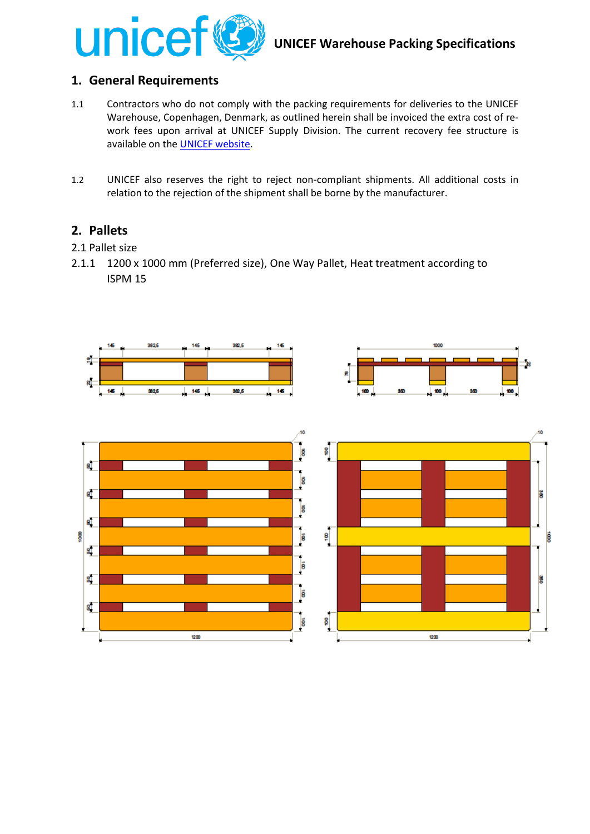

# **1. General Requirements**

- 1.1 Contractors who do not comply with the packing requirements for deliveries to the UNICEF Warehouse, Copenhagen, Denmark, as outlined herein shall be invoiced the extra cost of rework fees upon arrival at UNICEF Supply Division. The current recovery fee structure is available on th[e UNICEF website.](http://www.unicef.org/supply/index_41950.html)
- 1.2 UNICEF also reserves the right to reject non-compliant shipments. All additional costs in relation to the rejection of the shipment shall be borne by the manufacturer.

## **2. Pallets**

- 2.1 Pallet size
- 2.1.1 1200 x 1000 mm (Preferred size), One Way Pallet, Heat treatment according to ISPM 15





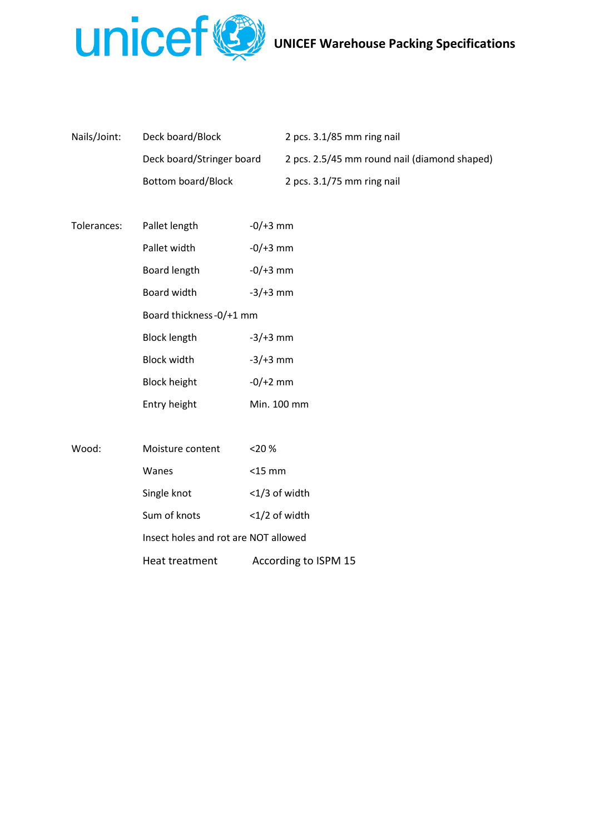

| Nails/Joint:<br>Deck board/Block |                           | 2 pcs. $3.1/85$ mm ring nail                 |  |
|----------------------------------|---------------------------|----------------------------------------------|--|
|                                  | Deck board/Stringer board | 2 pcs. 2.5/45 mm round nail (diamond shaped) |  |
|                                  | Bottom board/Block        | 2 pcs. $3.1/75$ mm ring nail                 |  |

| Tolerances: | Pallet length           | -0/+3 mm      |
|-------------|-------------------------|---------------|
|             | Pallet width            | $-0/+3$ mm    |
|             | <b>Board length</b>     | $-0/+3$ mm    |
|             | Board width             | $-3/+3$ mm    |
|             | Board thickness-0/+1 mm |               |
|             | <b>Block length</b>     | $-3/+3$ mm    |
|             | <b>Block width</b>      | $-3/+3$ mm    |
|             | <b>Block height</b>     | $-0/+2$ mm    |
|             | Entry height            | Min. 100 mm   |
|             |                         |               |
| Wood:       | Moisture content        | $<$ 20 %      |
|             | Wanes                   | $<$ 15 mm     |
|             | Single knot             | <1/3 of width |

Insect holes and rot are NOT allowed

Sum of knots <1/2 of width

Heat treatment According to ISPM 15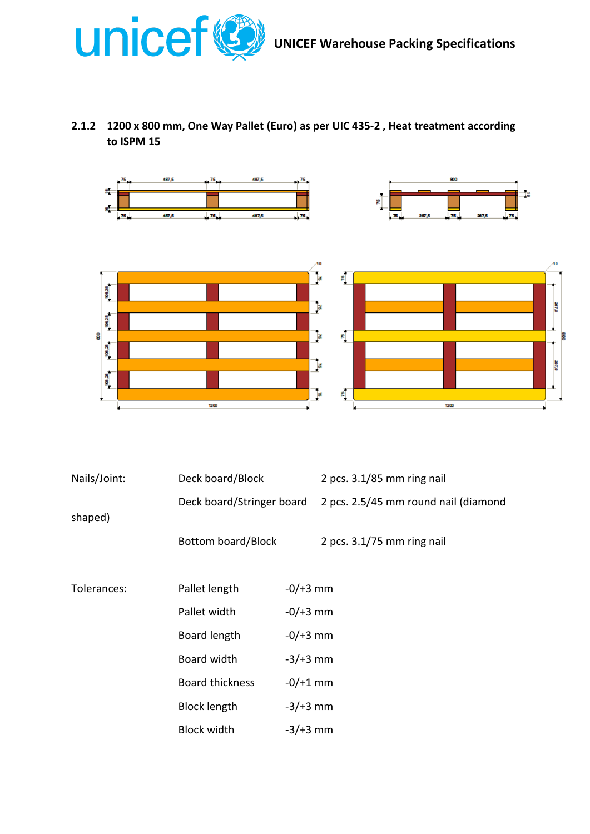

# **2.1.2 1200 x 800 mm, One Way Pallet (Euro) as per UIC 435-2 , Heat treatment according to ISPM 15**





| Nails/Joint: | Deck board/Block          |            | 2 pcs. 3.1/85 mm ring nail           |
|--------------|---------------------------|------------|--------------------------------------|
| shaped)      | Deck board/Stringer board |            | 2 pcs. 2.5/45 mm round nail (diamond |
|              | Bottom board/Block        |            | 2 pcs. $3.1/75$ mm ring nail         |
| Tolerances:  | Pallet length             | $-0/+3$ mm |                                      |
|              | Pallet width              | $-0/+3$ mm |                                      |
|              | Board length              | $-0/+3$ mm |                                      |
|              | Board width               | $-3/+3$ mm |                                      |
|              | <b>Board thickness</b>    | $-0/+1$ mm |                                      |
|              | <b>Block length</b>       | $-3/+3$ mm |                                      |
|              | <b>Block width</b>        | $-3/+3$ mm |                                      |
|              |                           |            |                                      |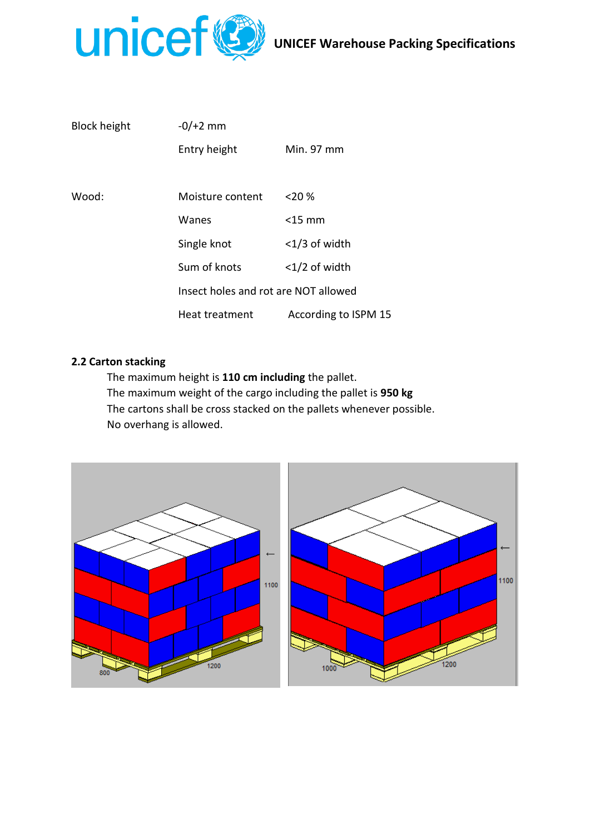

| <b>Block height</b> | $-0/+2$ mm                           |                      |  |
|---------------------|--------------------------------------|----------------------|--|
|                     | Entry height                         | Min. 97 mm           |  |
|                     |                                      |                      |  |
| Wood:               | Moisture content                     | 20%                  |  |
|                     | Wanes                                | $<$ 15 mm            |  |
|                     | Single knot                          | $<$ 1/3 of width     |  |
|                     | Sum of knots                         | $<$ 1/2 of width     |  |
|                     | Insect holes and rot are NOT allowed |                      |  |
|                     | Heat treatment                       | According to ISPM 15 |  |

#### **2.2 Carton stacking**

The maximum height is **110 cm including** the pallet. The maximum weight of the cargo including the pallet is **950 kg**  The cartons shall be cross stacked on the pallets whenever possible. No overhang is allowed.

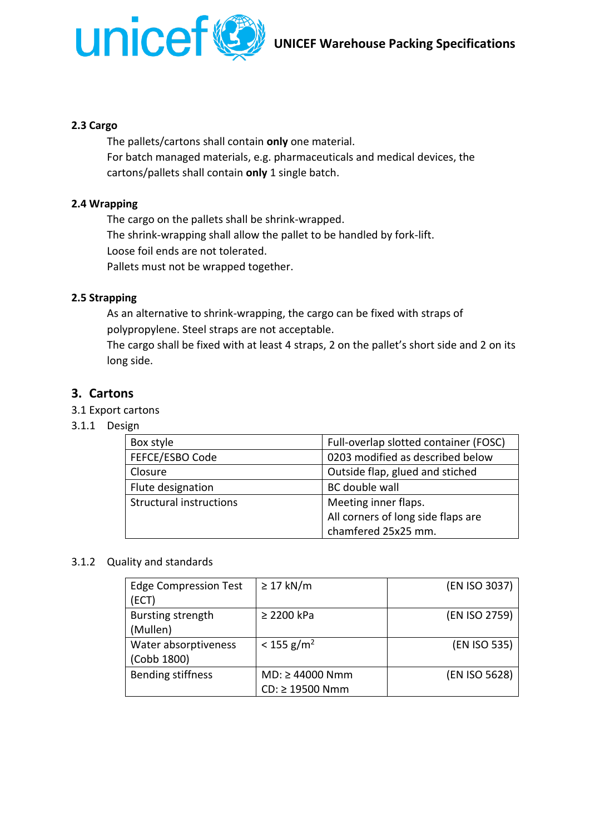

#### **2.3 Cargo**

The pallets/cartons shall contain **only** one material. For batch managed materials, e.g. pharmaceuticals and medical devices, the cartons/pallets shall contain **only** 1 single batch.

#### **2.4 Wrapping**

The cargo on the pallets shall be shrink-wrapped. The shrink-wrapping shall allow the pallet to be handled by fork-lift. Loose foil ends are not tolerated. Pallets must not be wrapped together.

#### **2.5 Strapping**

As an alternative to shrink-wrapping, the cargo can be fixed with straps of polypropylene. Steel straps are not acceptable.

The cargo shall be fixed with at least 4 straps, 2 on the pallet's short side and 2 on its long side.

#### **3. Cartons**

3.1 Export cartons

#### 3.1.1 Design

| Box style                      | Full-overlap slotted container (FOSC) |  |
|--------------------------------|---------------------------------------|--|
| FEFCE/ESBO Code                | 0203 modified as described below      |  |
| Closure                        | Outside flap, glued and stiched       |  |
| Flute designation              | BC double wall                        |  |
| <b>Structural instructions</b> | Meeting inner flaps.                  |  |
|                                | All corners of long side flaps are    |  |
|                                | chamfered 25x25 mm.                   |  |

#### 3.1.2 Quality and standards

| <b>Edge Compression Test</b><br>(ECT) | $\geq$ 17 kN/m                          | (EN ISO 3037) |
|---------------------------------------|-----------------------------------------|---------------|
| Bursting strength<br>(Mullen)         | $\geq$ 2200 kPa                         | (EN ISO 2759) |
| Water absorptiveness<br>(Cobb 1800)   | $< 155$ g/m <sup>2</sup>                | (EN ISO 535)  |
| <b>Bending stiffness</b>              | $MD: \geq 44000$ Nmm<br>CD: ≥ 19500 Nmm | (EN ISO 5628) |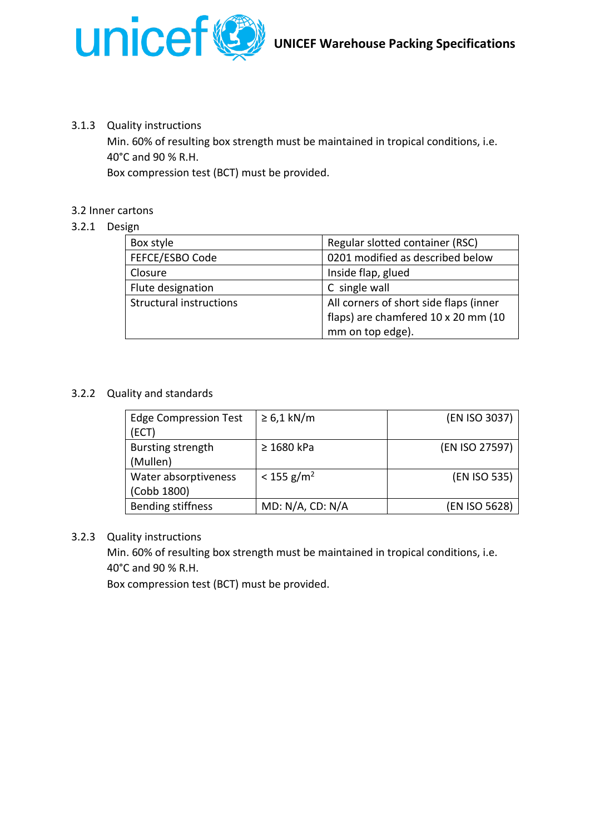

### 3.1.3 Quality instructions

Min. 60% of resulting box strength must be maintained in tropical conditions, i.e. 40°C and 90 % R.H.

Box compression test (BCT) must be provided.

### 3.2 Inner cartons

### 3.2.1 Design

| Box style                      | Regular slotted container (RSC)        |  |
|--------------------------------|----------------------------------------|--|
| FEFCE/ESBO Code                | 0201 modified as described below       |  |
| Closure                        | Inside flap, glued                     |  |
| Flute designation              | C single wall                          |  |
| <b>Structural instructions</b> | All corners of short side flaps (inner |  |
|                                | flaps) are chamfered 10 x 20 mm (10    |  |
|                                | mm on top edge).                       |  |

### 3.2.2 Quality and standards

| <b>Edge Compression Test</b><br>(ECT) | $\geq 6.1$ kN/m          | (EN ISO 3037)  |
|---------------------------------------|--------------------------|----------------|
| Bursting strength<br>(Mullen)         | $\geq$ 1680 kPa          | (EN ISO 27597) |
| Water absorptiveness<br>(Cobb 1800)   | $< 155$ g/m <sup>2</sup> | (EN ISO 535)   |
| <b>Bending stiffness</b>              | MD: N/A, CD: N/A         | (EN ISO 5628)  |

#### 3.2.3 Quality instructions

Min. 60% of resulting box strength must be maintained in tropical conditions, i.e. 40°C and 90 % R.H.

Box compression test (BCT) must be provided.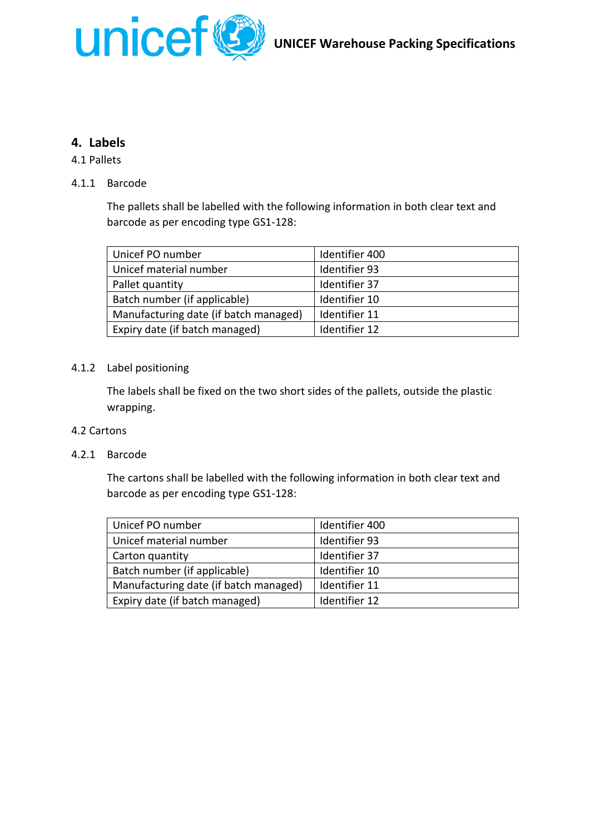

# **4. Labels**

## 4.1 Pallets

## 4.1.1 Barcode

The pallets shall be labelled with the following information in both clear text and barcode as per encoding type GS1-128:

| Unicef PO number                      | Identifier 400 |
|---------------------------------------|----------------|
| Unicef material number                | Identifier 93  |
| Pallet quantity                       | Identifier 37  |
| Batch number (if applicable)          | Identifier 10  |
| Manufacturing date (if batch managed) | Identifier 11  |
| Expiry date (if batch managed)        | Identifier 12  |

### 4.1.2 Label positioning

The labels shall be fixed on the two short sides of the pallets, outside the plastic wrapping.

#### 4.2 Cartons

## 4.2.1 Barcode

The cartons shall be labelled with the following information in both clear text and barcode as per encoding type GS1-128:

| Unicef PO number                      | Identifier 400 |
|---------------------------------------|----------------|
| Unicef material number                | Identifier 93  |
| Carton quantity                       | Identifier 37  |
| Batch number (if applicable)          | Identifier 10  |
| Manufacturing date (if batch managed) | Identifier 11  |
| Expiry date (if batch managed)        | Identifier 12  |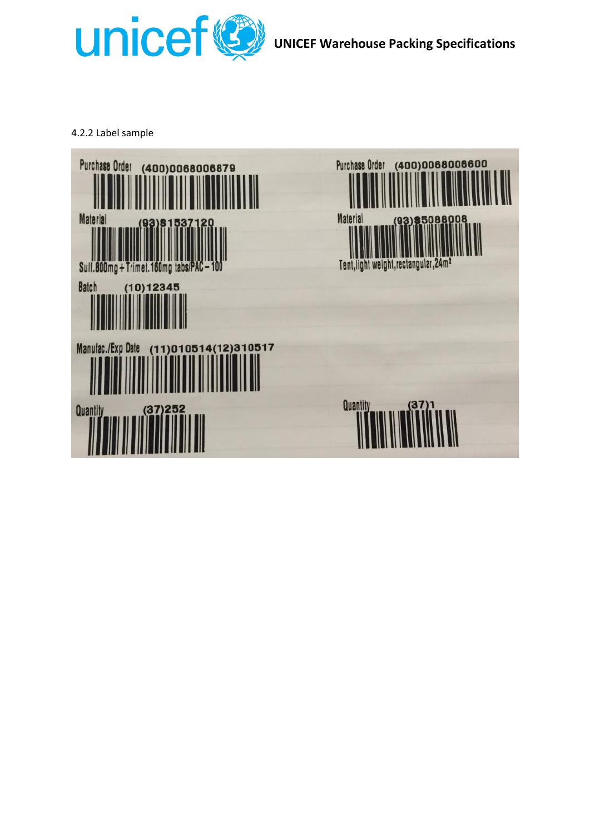

**UNICEF Warehouse Packing Specifications**

4.2.2 Label sample